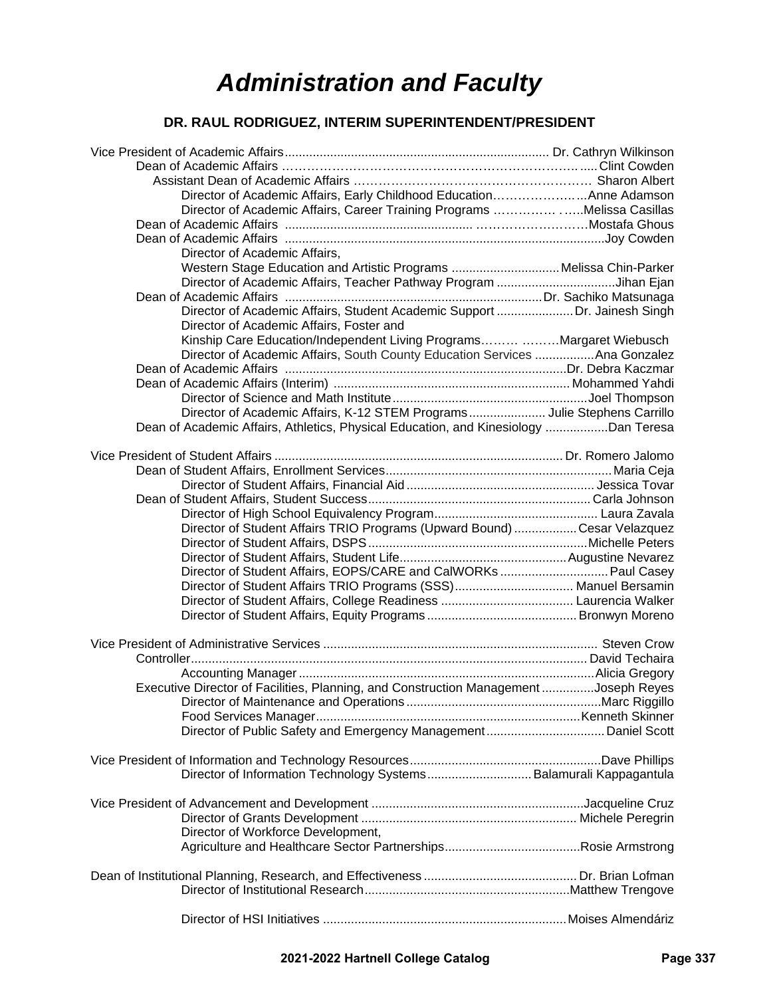# *Administration and Faculty*

# **DR. RAUL RODRIGUEZ, INTERIM SUPERINTENDENT/PRESIDENT**

| Director of Academic Affairs, Early Childhood EducationAnne Adamson                                                   |  |
|-----------------------------------------------------------------------------------------------------------------------|--|
| Director of Academic Affairs, Career Training Programs Melissa Casillas                                               |  |
|                                                                                                                       |  |
|                                                                                                                       |  |
|                                                                                                                       |  |
| Director of Academic Affairs,                                                                                         |  |
| Western Stage Education and Artistic Programs Melissa Chin-Parker                                                     |  |
| Director of Academic Affairs, Teacher Pathway Program Jihan Ejan                                                      |  |
|                                                                                                                       |  |
| Director of Academic Affairs, Student Academic Support  Dr. Jainesh Singh<br>Director of Academic Affairs, Foster and |  |
| Kinship Care Education/Independent Living Programs Margaret Wiebusch                                                  |  |
| Director of Academic Affairs, South County Education Services Ana Gonzalez                                            |  |
|                                                                                                                       |  |
|                                                                                                                       |  |
|                                                                                                                       |  |
|                                                                                                                       |  |
| Director of Academic Affairs, K-12 STEM Programs Julie Stephens Carrillo                                              |  |
| Dean of Academic Affairs, Athletics, Physical Education, and Kinesiology Dan Teresa                                   |  |
|                                                                                                                       |  |
|                                                                                                                       |  |
|                                                                                                                       |  |
|                                                                                                                       |  |
|                                                                                                                       |  |
| Director of Student Affairs TRIO Programs (Upward Bound) Cesar Velazquez                                              |  |
|                                                                                                                       |  |
|                                                                                                                       |  |
|                                                                                                                       |  |
|                                                                                                                       |  |
|                                                                                                                       |  |
|                                                                                                                       |  |
|                                                                                                                       |  |
|                                                                                                                       |  |
|                                                                                                                       |  |
|                                                                                                                       |  |
| Executive Director of Facilities, Planning, and Construction ManagementJoseph Reyes                                   |  |
|                                                                                                                       |  |
|                                                                                                                       |  |
|                                                                                                                       |  |
|                                                                                                                       |  |
|                                                                                                                       |  |
| Director of Information Technology Systems Balamurali Kappagantula                                                    |  |
|                                                                                                                       |  |
|                                                                                                                       |  |
| Director of Workforce Development,                                                                                    |  |
|                                                                                                                       |  |
|                                                                                                                       |  |
|                                                                                                                       |  |
|                                                                                                                       |  |
|                                                                                                                       |  |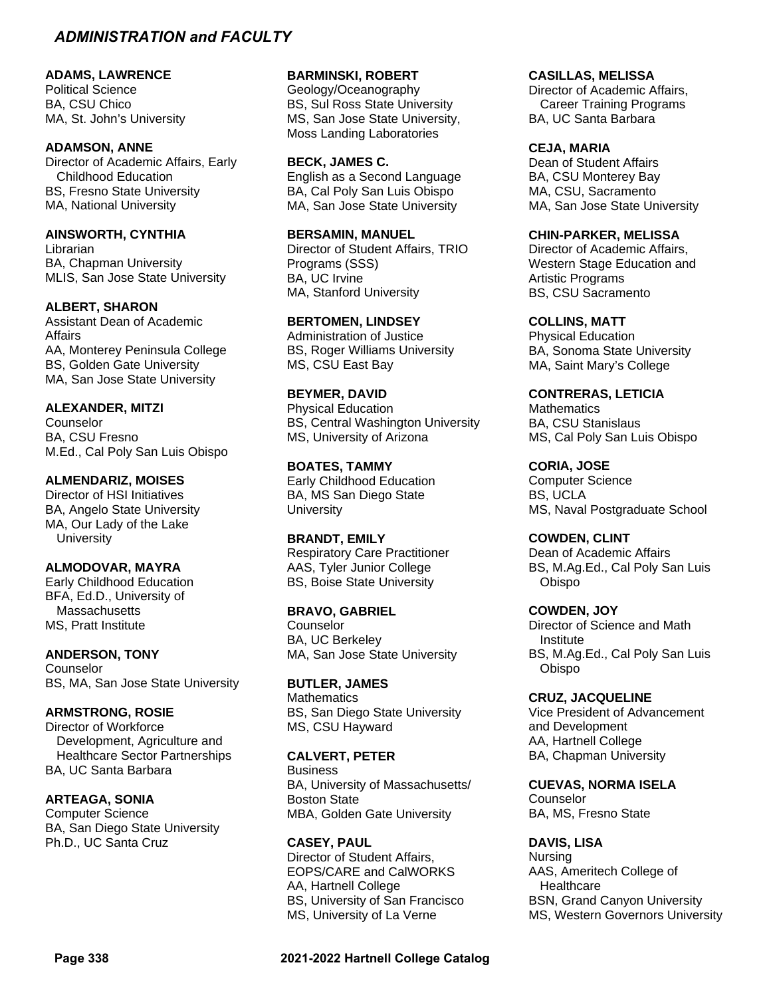**ADAMS, LAWRENCE** 

Political Science BA, CSU Chico MA, St. John's University

#### **ADAMSON, ANNE**

Director of Academic Affairs, Early Childhood Education BS, Fresno State University MA, National University

#### **AINSWORTH, CYNTHIA**

Librarian BA, Chapman University MLIS, San Jose State University

#### **ALBERT, SHARON**

Assistant Dean of Academic **Affairs** AA, Monterey Peninsula College BS, Golden Gate University MA, San Jose State University

#### **ALEXANDER, MITZI**

**Counselor** BA, CSU Fresno M.Ed., Cal Poly San Luis Obispo

### **ALMENDARIZ, MOISES**

Director of HSI Initiatives BA, Angelo State University MA, Our Lady of the Lake **University** 

#### **ALMODOVAR, MAYRA**

Early Childhood Education BFA, Ed.D., University of **Massachusetts** MS, Pratt Institute

**ANDERSON, TONY**  Counselor BS, MA, San Jose State University

#### **ARMSTRONG, ROSIE**

Director of Workforce Development, Agriculture and Healthcare Sector Partnerships BA, UC Santa Barbara

### **ARTEAGA, SONIA**

Computer Science BA, San Diego State University Ph.D., UC Santa Cruz

#### **BARMINSKI, ROBERT**

Geology/Oceanography BS, Sul Ross State University MS, San Jose State University, Moss Landing Laboratories

#### **BECK, JAMES C.**

English as a Second Language BA, Cal Poly San Luis Obispo MA, San Jose State University

#### **BERSAMIN, MANUEL**

Director of Student Affairs, TRIO Programs (SSS) BA, UC Irvine MA, Stanford University

#### **BERTOMEN, LINDSEY**

Administration of Justice BS, Roger Williams University MS, CSU East Bay

### **BEYMER, DAVID**

Physical Education BS, Central Washington University MS, University of Arizona

**BOATES, TAMMY**  Early Childhood Education BA, MS San Diego State **University** 

**BRANDT, EMILY**  Respiratory Care Practitioner AAS, Tyler Junior College BS, Boise State University

# **BRAVO, GABRIEL**

Counselor BA, UC Berkeley MA, San Jose State University

**BUTLER, JAMES Mathematics** BS, San Diego State University MS, CSU Hayward

#### **CALVERT, PETER**

**Business** BA, University of Massachusetts/ Boston State MBA, Golden Gate University

**CASEY, PAUL**  Director of Student Affairs, EOPS/CARE and CalWORKS AA, Hartnell College BS, University of San Francisco MS, University of La Verne

# **CEJA, MARIA**

**CASILLAS, MELISSA**  Director of Academic Affairs, Career Training Programs

BA, UC Santa Barbara

Dean of Student Affairs BA, CSU Monterey Bay MA, CSU, Sacramento MA, San Jose State University

#### **CHIN-PARKER, MELISSA**

Director of Academic Affairs, Western Stage Education and Artistic Programs BS, CSU Sacramento

#### **COLLINS, MATT**

Physical Education BA, Sonoma State University MA, Saint Mary's College

**CONTRERAS, LETICIA Mathematics** 

BA, CSU Stanislaus MS, Cal Poly San Luis Obispo

# **CORIA, JOSE**

Computer Science BS, UCLA MS, Naval Postgraduate School

**COWDEN, CLINT**  Dean of Academic Affairs BS, M.Ag.Ed., Cal Poly San Luis

Obispo

#### **COWDEN, JOY**

Director of Science and Math Institute BS, M.Ag.Ed., Cal Poly San Luis Obispo

#### **CRUZ, JACQUELINE**

Vice President of Advancement and Development AA, Hartnell College BA, Chapman University

**CUEVAS, NORMA ISELA** 

Counselor BA, MS, Fresno State

#### **DAVIS, LISA**

Nursing AAS, Ameritech College of **Healthcare** BSN, Grand Canyon University MS, Western Governors University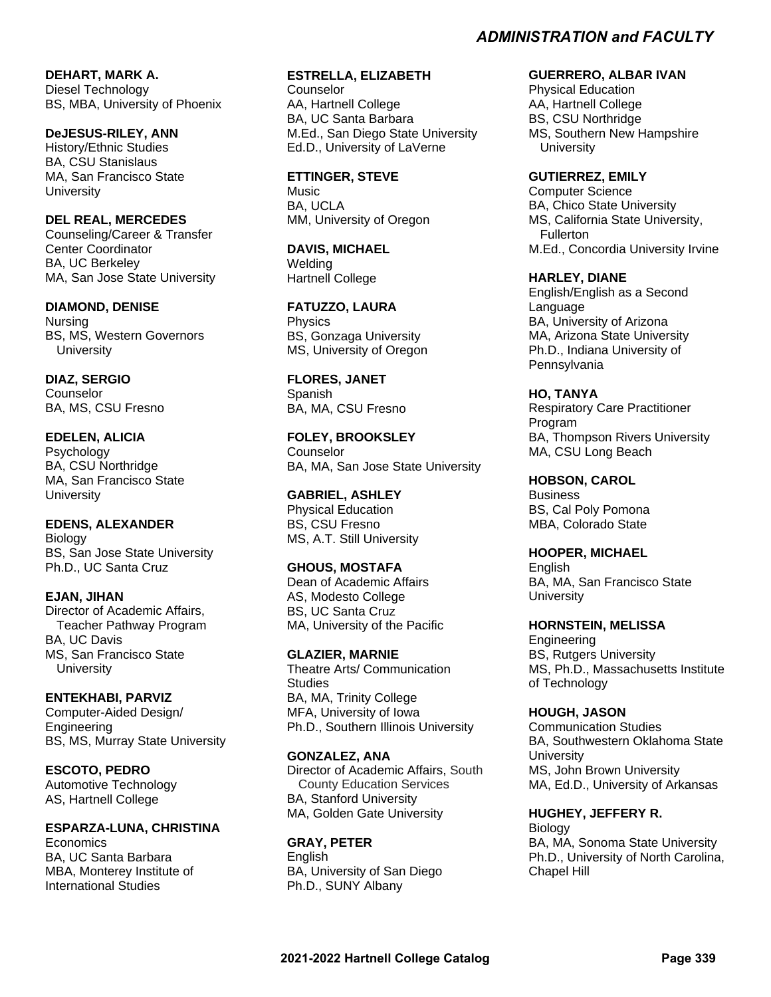**DEHART, MARK A.**  Diesel Technology BS, MBA, University of Phoenix

**DeJESUS-RILEY, ANN** History/Ethnic Studies BA, CSU Stanislaus MA, San Francisco State **University** 

**DEL REAL, MERCEDES**  Counseling/Career & Transfer Center Coordinator BA, UC Berkeley MA, San Jose State University

**DIAMOND, DENISE** Nursing BS, MS, Western Governors **University** 

**DIAZ, SERGIO Counselor** BA, MS, CSU Fresno

**EDELEN, ALICIA**  Psychology BA, CSU Northridge MA, San Francisco State **University** 

**EDENS, ALEXANDER Biology** BS, San Jose State University Ph.D., UC Santa Cruz

**EJAN, JIHAN**  Director of Academic Affairs, Teacher Pathway Program BA, UC Davis MS, San Francisco State **University** 

**ENTEKHABI, PARVIZ** Computer-Aided Design/ Engineering BS, MS, Murray State University

**ESCOTO, PEDRO**  Automotive Technology AS, Hartnell College

**ESPARZA-LUNA, CHRISTINA Economics** BA, UC Santa Barbara MBA, Monterey Institute of International Studies

**ESTRELLA, ELIZABETH** 

**Counselor** AA, Hartnell College BA, UC Santa Barbara M.Ed., San Diego State University Ed.D., University of LaVerne

**ETTINGER, STEVE Music** BA, UCLA MM, University of Oregon

**DAVIS, MICHAEL Welding** Hartnell College

**FATUZZO, LAURA Physics** BS, Gonzaga University MS, University of Oregon

**FLORES, JANET**  Spanish BA, MA, CSU Fresno

**FOLEY, BROOKSLEY**  Counselor BA, MA, San Jose State University

**GABRIEL, ASHLEY**  Physical Education BS, CSU Fresno MS, A.T. Still University

**GHOUS, MOSTAFA**  Dean of Academic Affairs AS, Modesto College BS, UC Santa Cruz MA, University of the Pacific

**GLAZIER, MARNIE**  Theatre Arts/ Communication **Studies** BA, MA, Trinity College MFA, University of Iowa Ph.D., Southern Illinois University

**GONZALEZ, ANA**  Director of Academic Affairs, South County Education Services BA, Stanford University MA, Golden Gate University

**GRAY, PETER**  English BA, University of San Diego Ph.D., SUNY Albany

# *ADMINISTRATION and FACULTY*

**GUERRERO, ALBAR IVAN** 

Physical Education AA, Hartnell College BS, CSU Northridge MS, Southern New Hampshire **University** 

**GUTIERREZ, EMILY**  Computer Science

BA, Chico State University MS, California State University, **Fullerton** M.Ed., Concordia University Irvine

**HARLEY, DIANE**  English/English as a Second

Language BA, University of Arizona MA, Arizona State University Ph.D., Indiana University of Pennsylvania

**HO, TANYA**  Respiratory Care Practitioner Program BA, Thompson Rivers University MA, CSU Long Beach

**HOBSON, CAROL Business** BS, Cal Poly Pomona MBA, Colorado State

**HOOPER, MICHAEL**  English BA, MA, San Francisco State **University** 

**HORNSTEIN, MELISSA Engineering BS. Rutgers University** MS, Ph.D., Massachusetts Institute of Technology

**HOUGH, JASON**  Communication Studies BA, Southwestern Oklahoma State **University** MS, John Brown University MA, Ed.D., University of Arkansas

**HUGHEY, JEFFERY R. Biology** BA, MA, Sonoma State University Ph.D., University of North Carolina, Chapel Hill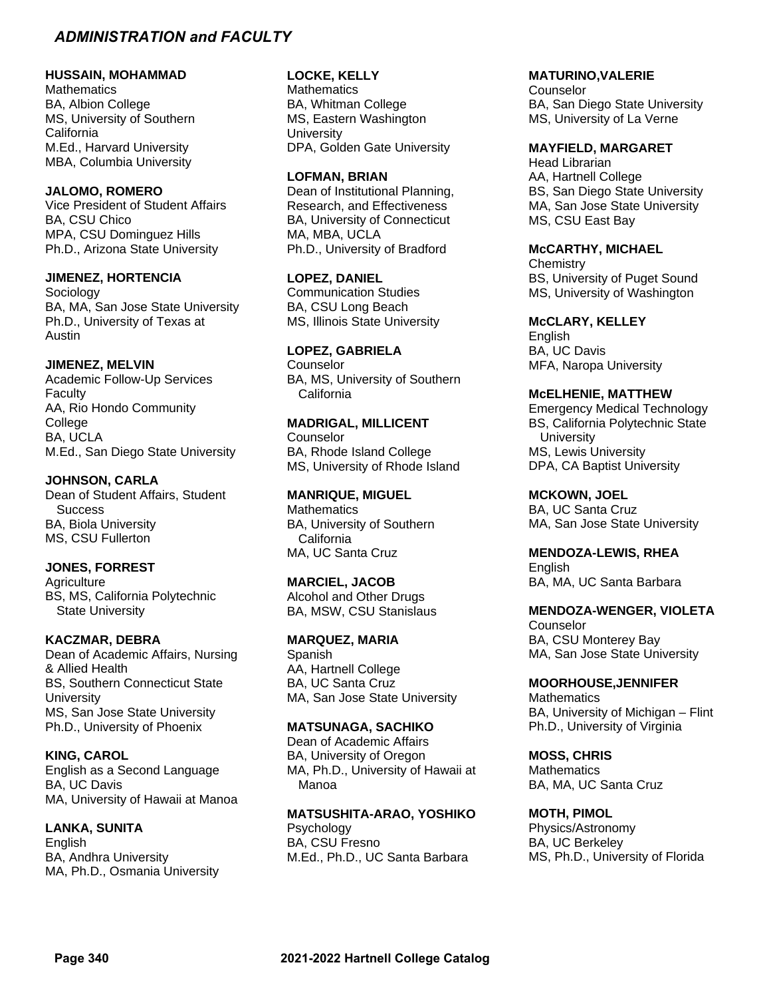#### **HUSSAIN, MOHAMMAD**

**Mathematics** BA, Albion College MS, University of Southern **California** M.Ed., Harvard University MBA, Columbia University

#### **JALOMO, ROMERO**

Vice President of Student Affairs BA, CSU Chico MPA, CSU Dominguez Hills Ph.D., Arizona State University

#### **JIMENEZ, HORTENCIA**

Sociology BA, MA, San Jose State University Ph.D., University of Texas at Austin

#### **JIMENEZ, MELVIN**

Academic Follow-Up Services Faculty AA, Rio Hondo Community College BA, UCLA M.Ed., San Diego State University

#### **JOHNSON, CARLA**

Dean of Student Affairs, Student **Success** BA, Biola University MS, CSU Fullerton

#### **JONES, FORREST**

**Agriculture** BS, MS, California Polytechnic State University

#### **KACZMAR, DEBRA**

Dean of Academic Affairs, Nursing & Allied Health BS, Southern Connecticut State **University** MS, San Jose State University Ph.D., University of Phoenix

#### **KING, CAROL**

English as a Second Language BA, UC Davis MA, University of Hawaii at Manoa

#### **LANKA, SUNITA**  English

BA, Andhra University MA, Ph.D., Osmania University

#### **LOCKE, KELLY**

**Mathematics** BA, Whitman College MS, Eastern Washington **University** DPA, Golden Gate University

#### **LOFMAN, BRIAN**

Dean of Institutional Planning, Research, and Effectiveness BA, University of Connecticut MA, MBA, UCLA Ph.D., University of Bradford

#### **LOPEZ, DANIEL**

Communication Studies BA, CSU Long Beach MS, Illinois State University

#### **LOPEZ, GABRIELA**

Counselor BA, MS, University of Southern **California** 

#### **MADRIGAL, MILLICENT**

**Counselor** BA, Rhode Island College MS, University of Rhode Island

#### **MANRIQUE, MIGUEL**

**Mathematics** BA, University of Southern California MA, UC Santa Cruz

#### **MARCIEL, JACOB**

Alcohol and Other Drugs BA, MSW, CSU Stanislaus

#### **MARQUEZ, MARIA**

Spanish AA, Hartnell College BA, UC Santa Cruz MA, San Jose State University

#### **MATSUNAGA, SACHIKO**

Dean of Academic Affairs BA, University of Oregon MA, Ph.D., University of Hawaii at Manoa

**MATSUSHITA-ARAO, YOSHIKO** Psychology BA, CSU Fresno M.Ed., Ph.D., UC Santa Barbara

#### **MATURINO,VALERIE**

**Counselor** BA, San Diego State University MS, University of La Verne

#### **MAYFIELD, MARGARET**

Head Librarian AA, Hartnell College BS, San Diego State University MA, San Jose State University MS, CSU East Bay

#### **McCARTHY, MICHAEL**

**Chemistry** BS, University of Puget Sound MS, University of Washington

#### **McCLARY, KELLEY**

**English** BA, UC Davis MFA, Naropa University

#### **McELHENIE, MATTHEW**

Emergency Medical Technology BS, California Polytechnic State **University** MS, Lewis University DPA, CA Baptist University

#### **MCKOWN, JOEL**

BA, UC Santa Cruz MA, San Jose State University

#### **MENDOZA-LEWIS, RHEA**

English BA, MA, UC Santa Barbara

#### **MENDOZA-WENGER, VIOLETA**

**Counselor** BA, CSU Monterey Bay MA, San Jose State University

#### **MOORHOUSE,JENNIFER**

**Mathematics** BA, University of Michigan – Flint Ph.D., University of Virginia

### **MOSS, CHRIS**

**Mathematics** BA, MA, UC Santa Cruz

#### **MOTH, PIMOL**

Physics/Astronomy BA, UC Berkeley MS, Ph.D., University of Florida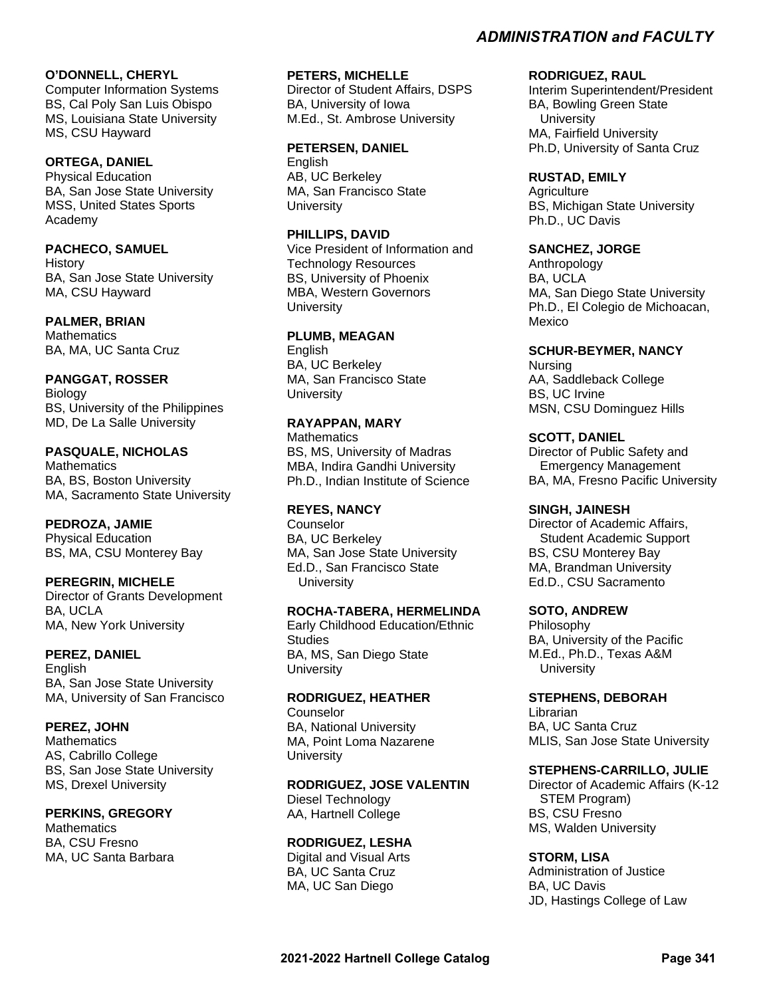#### **O'DONNELL, CHERYL**

Computer Information Systems BS, Cal Poly San Luis Obispo MS, Louisiana State University MS, CSU Hayward

#### **ORTEGA, DANIEL**

Physical Education BA, San Jose State University MSS, United States Sports Academy

#### **PACHECO, SAMUEL**

History BA, San Jose State University MA, CSU Hayward

#### **PALMER, BRIAN**

**Mathematics** BA, MA, UC Santa Cruz

#### **PANGGAT, ROSSER**

Biology BS, University of the Philippines MD, De La Salle University

#### **PASQUALE, NICHOLAS**

**Mathematics** BA, BS, Boston University MA, Sacramento State University

#### **PEDROZA, JAMIE**

Physical Education BS, MA, CSU Monterey Bay

#### **PEREGRIN, MICHELE**

Director of Grants Development BA, UCLA MA, New York University

#### **PEREZ, DANIEL**

**English** BA, San Jose State University MA, University of San Francisco

#### **PEREZ, JOHN**

**Mathematics** AS, Cabrillo College BS, San Jose State University MS, Drexel University

#### **PERKINS, GREGORY**

**Mathematics** BA, CSU Fresno MA, UC Santa Barbara

#### **PETERS, MICHELLE**

Director of Student Affairs, DSPS BA, University of Iowa M.Ed., St. Ambrose University

#### **PETERSEN, DANIEL**

English AB, UC Berkeley MA, San Francisco State **University** 

#### **PHILLIPS, DAVID**

Vice President of Information and Technology Resources BS, University of Phoenix MBA, Western Governors **University** 

#### **PLUMB, MEAGAN**

English BA, UC Berkeley MA, San Francisco State **University** 

#### **RAYAPPAN, MARY**

**Mathematics** BS, MS, University of Madras MBA, Indira Gandhi University Ph.D., Indian Institute of Science

#### **REYES, NANCY**

**Counselor** BA, UC Berkeley MA, San Jose State University Ed.D., San Francisco State **University** 

#### **ROCHA-TABERA, HERMELINDA**

Early Childhood Education/Ethnic Studies BA, MS, San Diego State **University** 

#### **RODRIGUEZ, HEATHER**

**Counselor** BA, National University MA, Point Loma Nazarene **University** 

**RODRIGUEZ, JOSE VALENTIN**  Diesel Technology AA, Hartnell College

#### **RODRIGUEZ, LESHA**

Digital and Visual Arts BA, UC Santa Cruz MA, UC San Diego

#### **RODRIGUEZ, RAUL**

Interim Superintendent/President BA, Bowling Green State **University** MA, Fairfield University Ph.D, University of Santa Cruz

#### **RUSTAD, EMILY**

**Agriculture** BS, Michigan State University Ph.D., UC Davis

#### **SANCHEZ, JORGE**

Anthropology BA, UCLA MA, San Diego State University Ph.D., El Colegio de Michoacan, **Mexico** 

#### **SCHUR-BEYMER, NANCY**

Nursing AA, Saddleback College BS, UC Irvine MSN, CSU Dominguez Hills

#### **SCOTT, DANIEL**

Director of Public Safety and Emergency Management BA, MA, Fresno Pacific University

#### **SINGH, JAINESH**

Director of Academic Affairs, Student Academic Support BS, CSU Monterey Bay MA, Brandman University Ed.D., CSU Sacramento

#### **SOTO, ANDREW**

Philosophy BA, University of the Pacific M.Ed., Ph.D., Texas A&M **University** 

#### **STEPHENS, DEBORAH**

Librarian BA, UC Santa Cruz MLIS, San Jose State University

#### **STEPHENS-CARRILLO, JULIE**

Director of Academic Affairs (K-12 STEM Program) BS, CSU Fresno MS, Walden University

#### **STORM, LISA**

Administration of Justice BA, UC Davis JD, Hastings College of Law